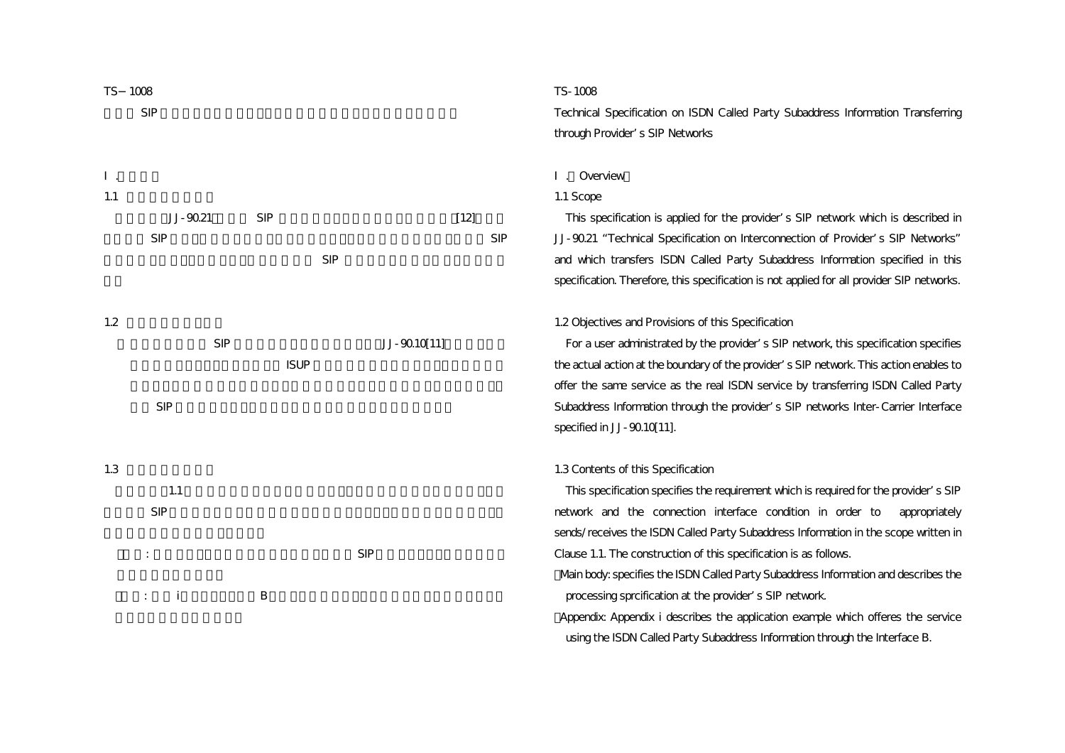

## TS-1008

Technical Specification on ISDN Called Party Subaddress Information Transferring through Provider s SIP Networks

### . Overview

#### 1.1 Scope

This specification is applied for the provider's SIP network which is described in JJ-90.21 "Technical Specification on Interconnection of Provider's SIP Networks" and which transfers ISDN Called Party Subaddress Information specified in this specification. Therefore, this specification is not applied for all provider SIP networks.

#### 1.2 Objectives and Provisions of this Specification

For a user administrated by the provider s SIP network, this specification specifies the actual action at the boundary of the provider's SIP network. This action enables to offer the same service as the real ISDN service by transferring ISDN Called Party Subaddress Information through the provider's SIP networks Inter-Carrier Interface specified in JJ-90.10[11].

# 1.3 Contents of this Specification

 This specification specifies the requirement which is required for the provider's SIP network and the connection interface condition in order to appropriately sends/receives the ISDN Called Party Subaddress Information in the scope written in Clause 1.1. The construction of this specification is as follows. Main body: specifies the ISDN Called Party Subaddress Information and describes the processing sprcification at the provider s SIP network.

Appendix: Appendix i describes the application example which offeres the service using the ISDN Called Party Subaddress Information through the Interface B.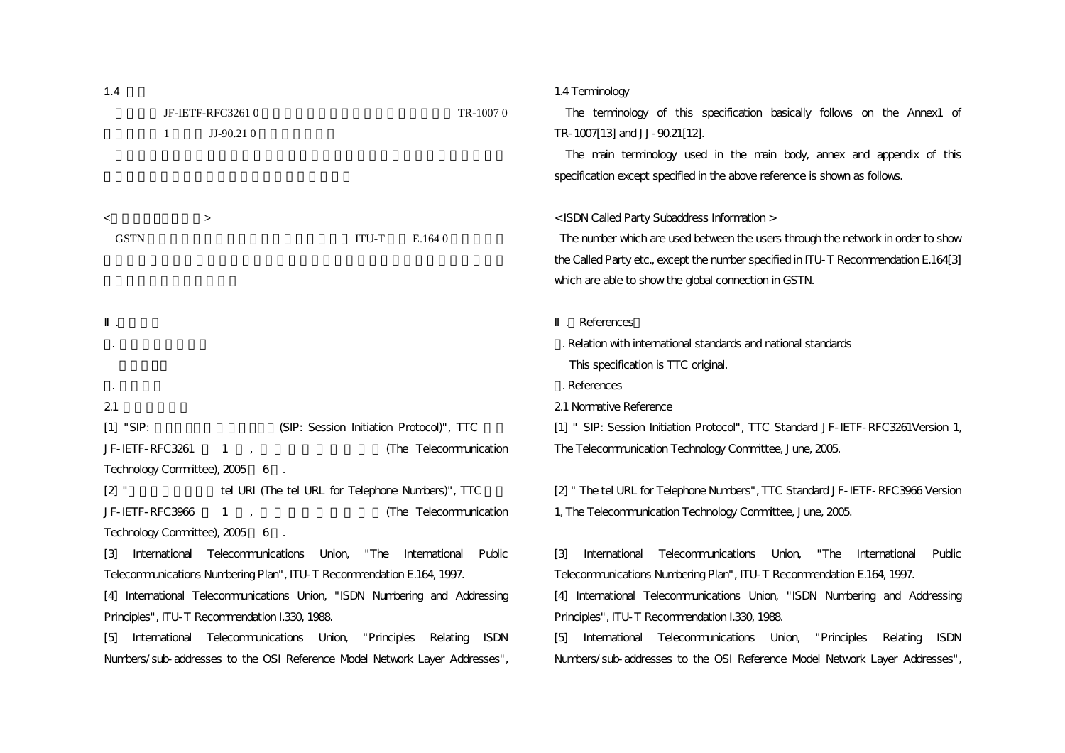<span id="page-1-1"></span><span id="page-1-0"></span>

| 1.4                                                                                   | 1.4 Terminology                                                                             |  |  |  |  |
|---------------------------------------------------------------------------------------|---------------------------------------------------------------------------------------------|--|--|--|--|
| JF-IETF-RFC32610<br>TR-10070                                                          | The terminology of this specification basically follows on the Annex1 of                    |  |  |  |  |
| $JJ-90.21$ 0<br>1                                                                     | TR-1007[13] and JJ-90.21[12].                                                               |  |  |  |  |
|                                                                                       | The main terminology used in the main body, annex and appendix of this                      |  |  |  |  |
|                                                                                       | specification except specified in the above reference is shown as follows.                  |  |  |  |  |
| $\prec$<br>$\geq$                                                                     | < ISDN Called Party Subaddress Information >                                                |  |  |  |  |
| <b>GSTN</b><br>ITU-T<br>E.164 0                                                       | The number which are used between the users through the network in order to show            |  |  |  |  |
|                                                                                       | the Called Party etc., except the number specified in ITU-T Recommendation E.164[3]         |  |  |  |  |
|                                                                                       | which are able to show the global connection in GSTN.                                       |  |  |  |  |
|                                                                                       | References                                                                                  |  |  |  |  |
|                                                                                       | . Relation with international standards and national standards                              |  |  |  |  |
|                                                                                       | This specification is TTC original.                                                         |  |  |  |  |
|                                                                                       | . References                                                                                |  |  |  |  |
| 21                                                                                    | 21 Normative Reference                                                                      |  |  |  |  |
| $[1]$ "SIP:<br>(SIP: Session Initiation Protocol)", TTC                               | [1] " SIP: Session Initiation Protocol", TTC Standard JF-IETF-RFC3261Version 1,             |  |  |  |  |
| JF-IETF-RFC3261<br>(The Telecommunication<br>$\mathbf{1}$<br>$\mathbf{r}$             | The Telecommunication Technology Committee, June, 2005.                                     |  |  |  |  |
| Technology Committee), 2005 6                                                         |                                                                                             |  |  |  |  |
| [2]<br>tel URI (The tel URL for Telephone Numbers)", TTC                              | [2] " The tel URL for Telephone Numbers", TTC Standard JF-IETF-RFC3966 Version              |  |  |  |  |
| JF-IETF-RFC3966<br>(The Telecommunication<br>$\mathbf{1}$<br>$\overline{1}$           | 1, The Telecommunication Technology Committee, June, 2005.                                  |  |  |  |  |
| Technology Committee), 2005 6.                                                        |                                                                                             |  |  |  |  |
| International Telecommunications<br>Union,<br>"The<br>International<br>Public<br>131  | [3]<br>International<br>Telecommunications Union,<br>"The<br>International<br>Public        |  |  |  |  |
| Telecommunications Numbering Plan", ITU-T Recommendation E.164, 1997.                 | Telecommunications Numbering Plan", ITU-T Recommendation E.164, 1997.                       |  |  |  |  |
| [4] International Telecommunications Union, "ISDN Numbering and Addressing            | [4] International Telecommunications Union, "ISDN Numbering and Addressing                  |  |  |  |  |
| Principles", ITU-T Recommendation I.330, 1988.                                        | Principles", ITU-T Recommendation I.330, 1988.                                              |  |  |  |  |
| International Telecommunications Union, "Principles<br>Relating<br><b>ISDN</b><br>[5] | Telecommunications Union,<br>[5]<br>International<br>"Principles<br>Relating<br><b>ISDN</b> |  |  |  |  |
| Numbers/sub-addresses to the OSI Reference Model Network Layer Addresses",            | Numbers/sub-addresses to the OSI Reference Model Network Layer Addresses",                  |  |  |  |  |
|                                                                                       |                                                                                             |  |  |  |  |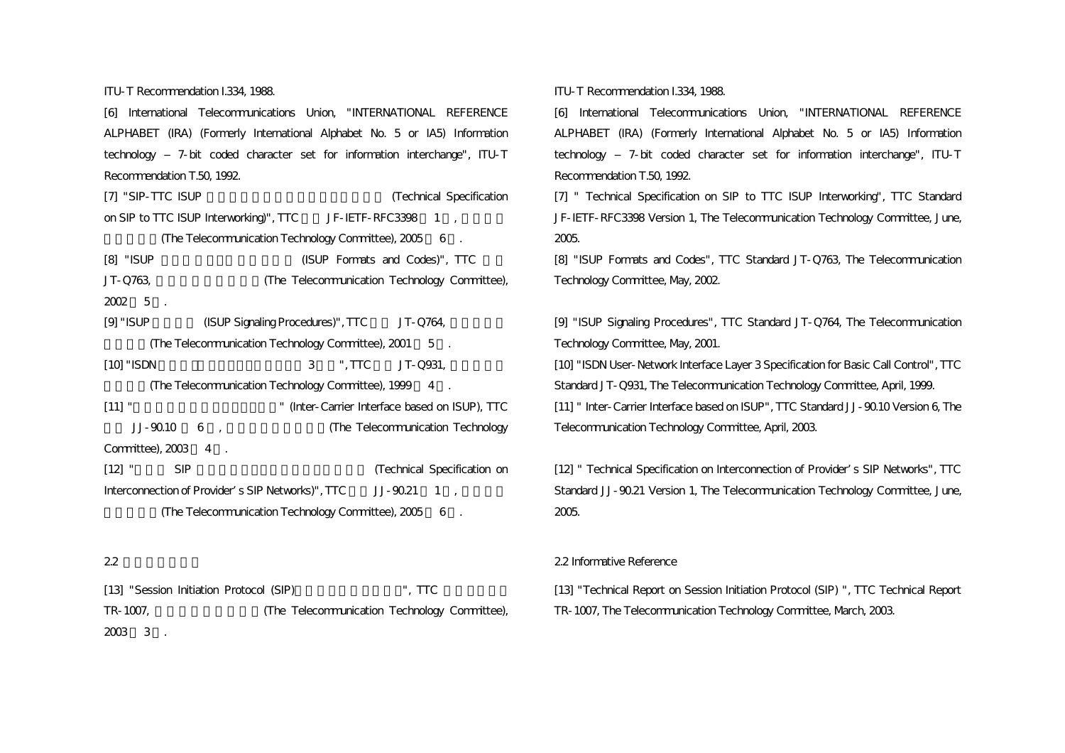ITU-T Recommendation I.334, 1988.

[6] International Telecommunications Union, "INTERNATIONAL REFERENCE ALPHABET (IRA) (Formerly International Alphabet No. 5 or IA5) Information technology ‒ 7-bit coded character set for information interchange", ITU-T Recommendation T.50, 1992.

[7] "SIP-TTC ISUP **EXECUTE:** (Technical Specification on SIP to TTC ISUP Interworking)", TTC JF-IETF-RFC3398 1 ( (The Telecommunication Technology Committee), 2005 6 . [8] "ISUP TO THE GROUP Formats and Codes)", TTC JT-Q763, the Telecommunication Technology Committee),

 $2002 \quad 5$ .

[9] "ISUP (ISUP Signaling Procedures)", TTC JT-Q764, (The Telecommunication Technology Committee), 2001 5.

 $[10]$  "ISDN  $3$  ", TTC JT-Q931,

(The Telecommunication Technology Committee), 1999 4 .

[11] " [11] " (Inter-Carrier Interface based on ISUP), TTC JJ-90.10 6 (The Telecommunication Technology

Committee), 2003 4 .

[12] " SIP  $\blacksquare$  SIP (Technical Specification on Interconnection of Provider's SIP Networks)", TTC JJ-90.21 1 (The Telecommunication Technology Committee), 2005 6 .

# 2.2

[13] "Session Initiation Protocol (SIP) TTC TR-1007, The Telecommunication Technology Committee),  $2003 \quad 3$ .

<span id="page-2-0"></span>ITU-T Recommendation I.334, 1988.

[6] International Telecommunications Union, "INTERNATIONAL REFERENCE ALPHABET (IRA) (Formerly International Alphabet No. 5 or IA5) Information technology ‒ 7-bit coded character set for information interchange", ITU-T Recommendation T.50, 1992.

[7] " Technical Specification on SIP to TTC ISUP Interworking", TTC Standard JF-IETF-RFC3398 Version 1, The Telecommunication Technology Committee, June, 2005.

[8] "ISUP Formats and Codes", TTC Standard JT-Q763, The Telecommunication Technology Committee, May, 2002.

[9] "ISUP Signaling Procedures", TTC Standard JT-Q764, The Telecommunication Technology Committee, May, 2001.

[10] "ISDN User-Network Interface Layer 3 Specification for Basic Call Control", TTC Standard JT-Q931, The Telecommunication Technology Committee, April, 1999. [11] " Inter-Carrier Interface based on ISUP", TTC Standard JJ-90.10 Version 6, The Telecommunication Technology Committee, April, 2003.

[12] " Technical Specification on Interconnection of Provider s SIP Networks", TTC Standard JJ-90.21 Version 1, The Telecommunication Technology Committee, June, 2005.

## 2.2 Informative Reference

[13] "Technical Report on Session Initiation Protocol (SIP) ", TTC Technical Report TR-1007, The Telecommunication Technology Committee, March, 2003.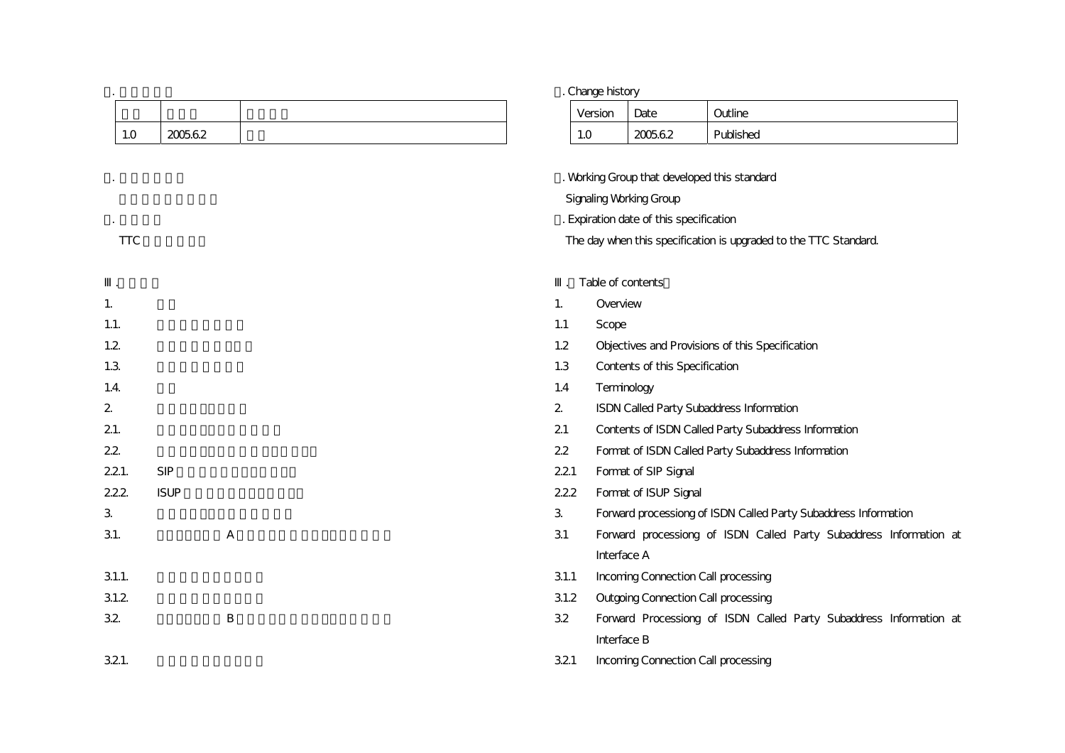|            |             |   |                                                                  | . Change history                        |                                     |                                                                    |  |
|------------|-------------|---|------------------------------------------------------------------|-----------------------------------------|-------------------------------------|--------------------------------------------------------------------|--|
|            |             |   |                                                                  | Version                                 | Date                                | Outline                                                            |  |
| $1.0$      | 200562      |   | 1.0                                                              |                                         | 200562                              | Published                                                          |  |
|            |             |   |                                                                  |                                         |                                     |                                                                    |  |
|            |             |   | . Working Group that developed this standard                     |                                         |                                     |                                                                    |  |
|            |             |   |                                                                  |                                         | <b>Signaling Working Group</b>      |                                                                    |  |
|            |             |   |                                                                  | . Expiration date of this specification |                                     |                                                                    |  |
| <b>TTC</b> |             |   | The day when this specification is upgraded to the TTC Standard. |                                         |                                     |                                                                    |  |
|            |             |   |                                                                  |                                         | Table of contents                   |                                                                    |  |
| 1.         |             |   | 1.                                                               | Overview                                |                                     |                                                                    |  |
| 1.1.       |             |   | 1.1                                                              | Scope                                   |                                     |                                                                    |  |
| 1.2        |             |   | 1.2                                                              |                                         |                                     | Objectives and Provisions of this Specification                    |  |
| 1.3        |             |   | 1.3                                                              |                                         | Contents of this Specification      |                                                                    |  |
| 1.4.       |             |   | 1.4                                                              |                                         | Terminology                         |                                                                    |  |
| 2          |             |   | $\overline{2}$                                                   |                                         |                                     | ISDN Called Party Subaddress Information                           |  |
| 21.        |             |   | 21                                                               |                                         |                                     | Contents of ISDN Called Party Subaddress Information               |  |
| 22         |             |   | 22                                                               |                                         |                                     | Format of ISDN Called Party Subaddress Information                 |  |
| 221.       | <b>SIP</b>  |   | 221                                                              |                                         | Format of SIP Signal                |                                                                    |  |
| 222        | <b>ISUP</b> |   | 222                                                              |                                         | Format of ISUP Signal               |                                                                    |  |
| 3          |             |   | $\mathbf{3}$                                                     |                                         |                                     | Forward processiong of ISDN Called Party Subaddress Information    |  |
| 31.        |             | А | 31                                                               |                                         |                                     | Forward processiong of ISDN Called Party Subaddress Information at |  |
|            |             |   |                                                                  | Interface A                             |                                     |                                                                    |  |
| 31.1.      |             |   | 31.1                                                             |                                         | Incoming Connection Call processing |                                                                    |  |
| 31.2       |             |   | 31.2                                                             |                                         |                                     | <b>Outgoing Connection Call processing</b>                         |  |
| 32         |             | В | 32                                                               |                                         |                                     | Forward Processiong of ISDN Called Party Subaddress Information at |  |
|            |             |   |                                                                  | Interface B                             |                                     |                                                                    |  |
| 321.       |             |   | 321                                                              |                                         | Incoming Connection Call processing |                                                                    |  |